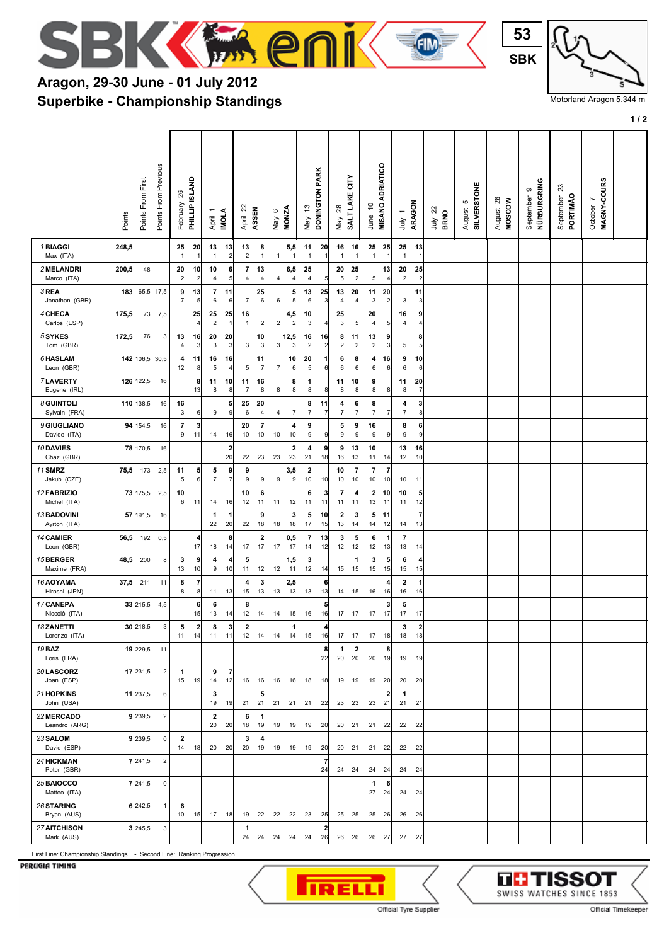

## **Superbike - Championship Standings Aragon, 29-30 June - 01 July 2012**



Motorland Aragon 5.344 m

**1 / 2**

|                                    | Points From Previous<br>Points From First<br>Points | PHILLIP ISLAND<br>26<br>February          | <b>INOLA</b><br>٣<br>April                   | April 22<br>ASSEN                               | <b>MONZA</b><br>May 6                         | DONINGTON PARK<br>May 13                     | čΕ<br>SALT LAKE<br>$^{28}$<br>Vay          | <b>MISANO ADRIATICO</b><br>S<br>June         | ARAGON<br>$\overline{ }$<br>July             | $\overline{2}$<br><b>BRNO</b><br>ylnr | <b>SILVERSTONE</b><br>Ю<br>August | 26<br><b>MOSCOW</b><br>August | NÜRBURGRING<br>თ<br>September | ಔ<br>PORTIMÃO<br>September | October 7<br>MAGNY-COURS |  |
|------------------------------------|-----------------------------------------------------|-------------------------------------------|----------------------------------------------|-------------------------------------------------|-----------------------------------------------|----------------------------------------------|--------------------------------------------|----------------------------------------------|----------------------------------------------|---------------------------------------|-----------------------------------|-------------------------------|-------------------------------|----------------------------|--------------------------|--|
| 1 BIAGGI<br>Max (ITA)              | 248,5                                               | 25<br>20<br>1                             | 13<br>13<br>$\overline{2}$<br>$\overline{1}$ | 13<br>8<br>$\overline{2}$<br>$\mathbf{1}$       | 5,5<br>$\mathbf{1}$                           | 20<br>11<br>$\overline{1}$                   | 16<br>16<br>$\overline{1}$<br>$\mathbf{1}$ | 25 25<br>$\mathbf{1}$<br>$\mathbf{1}$        | 25 13<br>1<br>1                              |                                       |                                   |                               |                               |                            |                          |  |
| 2 MELANDRI<br>Marco (ITA)          | 200,5<br>48                                         | 20<br>10<br>$\mathbf 2$<br>$\overline{2}$ | 10<br>6<br>5<br>4                            | $\overline{7}$<br>13<br>$\overline{4}$<br>4     | 6,5<br>4                                      | 25<br>$\sqrt{4}$<br>5 <sup>1</sup>           | 20<br>25<br>$\,$ 5 $\,$<br>$\overline{2}$  | 13<br>5<br>4                                 | 20<br>25<br>$\overline{c}$<br>$\overline{2}$ |                                       |                                   |                               |                               |                            |                          |  |
| 3 REA<br>Jonathan (GBR)            | 183 65,5 17,5                                       | 9<br>13<br>$\overline{7}$<br>5            | $\overline{7}$<br>11<br>6<br>6               | 25<br>$\overline{7}$<br>6                       | 5<br>5<br>6                                   | 25<br>13<br>6<br>3                           | 13<br>20<br>$\overline{4}$<br>4            | 20<br>11<br>3<br>$\overline{2}$              | 11<br>3<br>3                                 |                                       |                                   |                               |                               |                            |                          |  |
| 4 CHECA<br>Carlos (ESP)            | 73<br>175,5<br>7,5                                  | 25                                        | 25<br>25<br>2                                | 16<br>$\overline{\mathbf{c}}$<br>$\overline{1}$ | 4,5<br>$\mathbf 2$<br>$\overline{\mathbf{c}}$ | 10<br>3<br>4                                 | 25<br>3<br>5                               | 20<br>4<br>5 <sup>2</sup>                    | 16<br>9<br>4<br>4                            |                                       |                                   |                               |                               |                            |                          |  |
| 5 SYKES<br>Tom (GBR)               | 172,5<br>76<br>3                                    | 13<br>16<br>3<br>4                        | 20<br>20<br>3<br>3                           | 10<br>3<br>3                                    | 12,5<br>3<br>3                                | 16<br>16<br>$\overline{2}$<br>$\overline{2}$ | 8<br>11<br>$\sqrt{2}$<br>$\overline{2}$    | 13<br>9<br>$\sqrt{2}$<br>3                   | 8<br>5<br>5                                  |                                       |                                   |                               |                               |                            |                          |  |
| <b>6 HASLAM</b><br>Leon (GBR)      | 142 106,5 30,5                                      | 4<br>11<br>12<br>8                        | 16<br>16<br>5<br>$\overline{4}$              | 11<br>5<br>$\overline{7}$                       | 10<br>$\overline{7}$<br>6                     | 20<br>1<br>5<br>6                            | 6<br>8<br>6<br>6                           | 4<br>16<br>6<br>$6 \mid$                     | 9<br>10<br>6<br>6                            |                                       |                                   |                               |                               |                            |                          |  |
| <b>7LAVERTY</b><br>Eugene (IRL)    | 126 122,5<br>16                                     | 8<br>13                                   | 11<br>10<br>8<br>8                           | 11<br>16<br>$\overline{7}$<br>8                 | 8<br>8<br>8                                   | 1<br>8<br>8                                  | 11<br>10<br>8<br>8                         | 9<br>8<br>8 <sup>1</sup>                     | 20<br>11<br>$\overline{7}$<br>8              |                                       |                                   |                               |                               |                            |                          |  |
| 8 GUINTOLI<br>Sylvain (FRA)        | 110 138,5<br>16                                     | 16<br>3<br>6                              | 5 <sup>1</sup><br>9<br>9                     | 25<br>20<br>6<br>$\overline{4}$                 | $\overline{\mathbf{4}}$<br>7                  | 8<br>11<br>$\overline{7}$<br>$\overline{7}$  | 6<br>4<br>$\overline{7}$<br>$\overline{7}$ | 8<br>$\overline{7}$<br>7                     | 3<br>4<br>7<br>8                             |                                       |                                   |                               |                               |                            |                          |  |
| <b>9 GIUGLIANO</b><br>Davide (ITA) | 94 154,5<br>16                                      | $\overline{\phantom{a}}$<br>3<br>9<br>11  | 14<br>16                                     | 20<br>$\overline{7}$<br>10<br>10                | 4<br>10<br>10                                 | 9<br>9<br>9                                  | 5<br>9<br>9<br>9                           | 16<br>9<br>9                                 | 8<br>6<br>9<br>9                             |                                       |                                   |                               |                               |                            |                          |  |
| 10 DAVIES<br>Chaz (GBR)            | 78 170,5<br>16                                      |                                           | 2<br>20                                      | 22<br>23                                        | 2<br>23<br>23                                 | 4<br>9<br>21<br>18                           | 9<br>13<br>13<br>16                        | 10<br>11<br>14                               | 13<br>16<br>12<br>10                         |                                       |                                   |                               |                               |                            |                          |  |
| 11 SMRZ<br>Jakub (CZE)             | 75,5 173<br>2,5                                     | 11<br>5<br>5<br>6                         | 9<br>5<br>$\overline{7}$<br>$\overline{7}$   | 9<br>$\boldsymbol{9}$<br>9                      | 3,5<br>9<br>9                                 | $\overline{2}$<br>10<br>10                   | 10<br>$\overline{7}$<br>10<br>10           | $\overline{7}$<br>$\overline{7}$<br>10<br>10 | 10<br>11                                     |                                       |                                   |                               |                               |                            |                          |  |
| 12 FABRIZIO<br>Michel (ITA)        | 73 175,5<br>2,5                                     | 10<br>6<br>11                             | 14<br>16                                     | 10<br>6<br>12<br>11                             | 11<br>12                                      | 6<br>3<br>11<br>11                           | $\overline{7}$<br>4<br>11<br>11            | $\mathbf{2}$<br>10<br>13<br>11               | 10<br>5<br>11<br>12                          |                                       |                                   |                               |                               |                            |                          |  |
| <b>13 BADOVINI</b><br>Ayrton (ITA) | 57 191,5<br>16                                      |                                           | $\mathbf{1}$<br>22<br>20                     | 9<br>18<br>22                                   | 3<br>18<br>18                                 | 5<br>10<br>17<br>15                          | $\mathbf 2$<br>3<br>13<br>14               | 5<br>11<br>12<br>14                          | $\overline{7}$<br>13<br>14                   |                                       |                                   |                               |                               |                            |                          |  |
| 14 CAMIER<br>Leon (GBR)            | 56,5 192<br>0,5                                     | 4<br>17                                   | 8<br>18<br>14                                | $\mathbf{2}$<br>17<br>17                        | 0,5<br>17<br>17                               | 13 <br>7<br>14<br>12                         | 3<br>5<br>12<br>12                         | 6<br>1<br>12<br>13                           | 7<br>13<br>14                                |                                       |                                   |                               |                               |                            |                          |  |
| 15 BERGER<br>Maxime (FRA)          | 48,5 200<br>8                                       | 9<br>3<br>13<br>10                        | 4<br>4<br>9<br>10                            | 5<br>11<br>12                                   | 1,5<br>12<br>11                               | 3<br>12<br>14                                | 1<br>15<br>15                              | 3<br>5<br>15<br>15                           | 6<br>4<br>15<br>15                           |                                       |                                   |                               |                               |                            |                          |  |
| 16 AOYAMA<br>Hiroshi (JPN)         | 37,5 211<br>11                                      | $\overline{7}$<br>8<br>8<br>8             | 11<br>13                                     | 3<br>4<br>15<br>13                              | 2,5<br>13<br>13                               | 6<br>13<br>13                                | 14<br>15                                   | 4<br>16<br>16                                | 2<br>1<br>16<br>16                           |                                       |                                   |                               |                               |                            |                          |  |
| 17 CANEPA<br>Niccolò (ITA)         | 33 215,5<br>4,5                                     | 6<br>15                                   | 6<br>13<br> 14                               | 8<br>12<br>14                                   | 14<br>15                                      | 5<br>16<br>16                                | 17 17                                      | 3<br>17<br>17                                | 5<br>17<br>17                                |                                       |                                   |                               |                               |                            |                          |  |
| 18ZANETTI<br>Lorenzo (ITA)         | 30 218,5<br>3                                       | $\overline{\mathbf{c}}$<br>5<br>14<br>11  | 8<br>3<br>$11 - 11$                          | $\overline{\mathbf{2}}$<br>12<br>14             | 1<br>14<br>14                                 | 4<br>16<br>15                                | $17 \quad 17$                              | $17$ 18                                      | $\overline{\mathbf{2}}$<br>3<br>18<br>18     |                                       |                                   |                               |                               |                            |                          |  |
| 19 BAZ<br>Loris (FRA)              | 19 229,5<br>$-11$                                   |                                           |                                              |                                                 |                                               | 8<br>22                                      | 1<br>$\overline{\mathbf{2}}$<br>20<br>20   | 8<br>20<br>19                                | 19 19                                        |                                       |                                   |                               |                               |                            |                          |  |
| 20 LASCORZ<br>Joan (ESP)           | $\mathbf 2$<br>17 231,5                             | $\mathbf{1}$<br>15 19                     | 9<br>$\overline{7}$<br>12<br>14              | 16 16                                           |                                               | 16 16 18 18                                  | 19 19                                      | $19$ 20                                      | 20 20                                        |                                       |                                   |                               |                               |                            |                          |  |
| 21 HOPKINS<br>John (USA)           | 11 237,5<br>6                                       |                                           | 3<br>19<br>19                                | 5<br>21<br>21                                   | 21<br>21                                      | 22<br>21                                     | 23<br>23                                   | 2<br>23<br>21                                | 1<br>21<br>21                                |                                       |                                   |                               |                               |                            |                          |  |
| 22 MERCADO<br>Leandro (ARG)        | $\overline{2}$<br>9 239,5                           |                                           | $\overline{\mathbf{2}}$<br>20<br>-20         | 6<br>1<br>18<br>19                              | 19<br>19                                      | 19<br>20                                     | 20 21                                      | 21 22                                        | 22 22                                        |                                       |                                   |                               |                               |                            |                          |  |
| 23 SALOM<br>David (ESP)            | $\mathbf 0$<br>9 239.5                              | $\overline{2}$<br>14<br>18                | 20<br>20                                     | 3<br>4<br>20<br>19                              | 19<br>19                                      | 19<br>20                                     | 20 21                                      | 21 22                                        | 22<br>22                                     |                                       |                                   |                               |                               |                            |                          |  |
| 24 HICKMAN<br>Peter (GBR)          | $\mathbf 2$<br>7 241,5                              |                                           |                                              |                                                 |                                               | 7<br>24                                      | 24 24                                      | 24<br>24                                     | 24 24                                        |                                       |                                   |                               |                               |                            |                          |  |
| 25 BAIOCCO<br>Matteo (ITA)         | 7 241,5<br>$\mathsf 0$                              |                                           |                                              |                                                 |                                               |                                              |                                            | 1<br>6<br>27 24                              | 24 24                                        |                                       |                                   |                               |                               |                            |                          |  |
| 26 STARING<br>Bryan (AUS)          | 6 242,5<br>$\mathbf{1}$                             | 6<br>10 <sup>1</sup><br>15                | $17$ 18                                      | 19<br>22                                        | 22<br>22                                      | 25<br>23                                     | 25 25                                      | $25 \quad 26$                                | 26<br>26                                     |                                       |                                   |                               |                               |                            |                          |  |
| 27 AITCHISON<br>Mark (AUS)         | $\mathbf{3}$<br>3 245,5                             |                                           |                                              | 1<br>24<br>24                                   | 24<br>24                                      | $\overline{2}$<br>26<br>24                   | 26<br>26                                   | 26 27                                        | 27 27                                        |                                       |                                   |                               |                               |                            |                          |  |

First Line: Championship Standings - Second Line: Ranking Progression



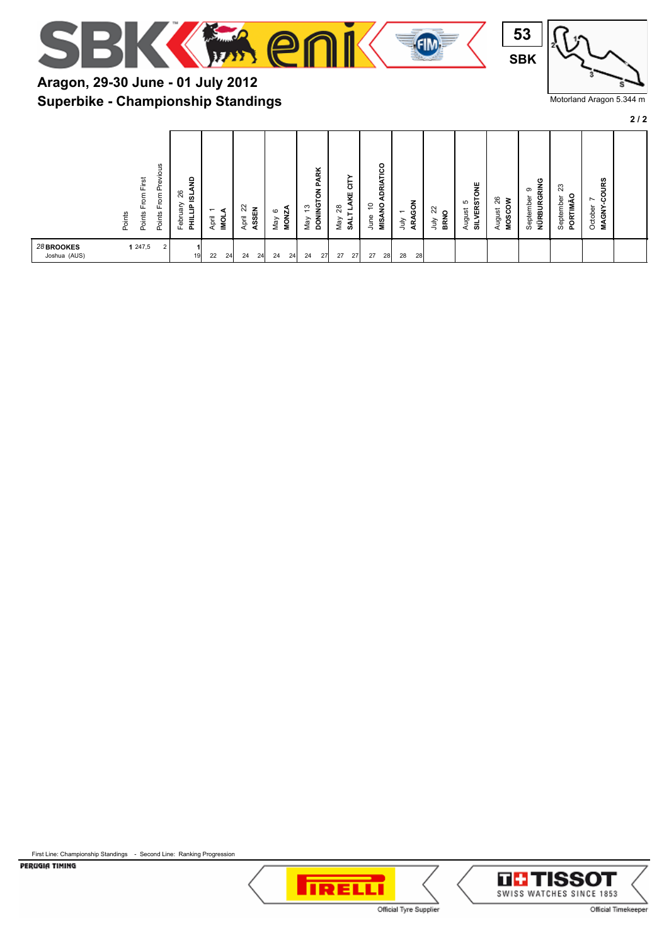



#### Motorland Aragon 5.344 m

**2 / 2**

| Aragon, 29-30 June - 01 July 2012         |  |
|-------------------------------------------|--|
| <b>Superbike - Championship Standings</b> |  |

| evious<br>From First<br>՟<br>$\mathsf{From}$<br>Points<br>Points<br>Points | ę<br>26<br>₫<br>Aren<br>st<br>MHT<br>$\overline{\phantom{0}}$<br>April<br>low<br>Febr | $^{22}$<br>$\frac{3}{2}$<br><b>MONZA</b><br>ASSEN<br>$\circ$<br>April<br>Viay | ADRIATICO<br><b>PARK</b><br>능<br>$\overline{6}$<br>쁒<br>õ<br>∢<br><b>DONINGT</b><br><b>MISANO</b><br>$\tilde{=}$<br>28<br>┙<br>$\overline{\phantom{0}}$<br>⊢<br>June<br>Vay<br>Vay<br>ĄRA<br>È<br>ક્રુ | <b>SILVERSTONE</b><br>26<br><b>MOSCOW</b><br>S<br>ನ<br>ugust<br>August<br>$\circ$<br><b>RN</b><br>ÈΓ<br>◅ | <b>COURS</b><br>ပ<br>NÜRBURGRIN<br>ಔ<br>ၜ<br>$\circ$<br>September<br>September<br>$\overline{\phantom{0}}$<br>PORTIMĂ<br>October<br><b>MAGNY</b> |
|----------------------------------------------------------------------------|---------------------------------------------------------------------------------------|-------------------------------------------------------------------------------|--------------------------------------------------------------------------------------------------------------------------------------------------------------------------------------------------------|-----------------------------------------------------------------------------------------------------------|--------------------------------------------------------------------------------------------------------------------------------------------------|
| 28 BROOKES<br>1247,5<br>$\overline{2}$<br>Joshua (AUS)                     | 22<br>24<br>19                                                                        | 24<br>24<br>24<br>24                                                          | 27<br>27<br>28<br>27<br>27<br>28<br>28<br>24                                                                                                                                                           |                                                                                                           |                                                                                                                                                  |

First Line: Championship Standings - Second Line: Ranking Progression



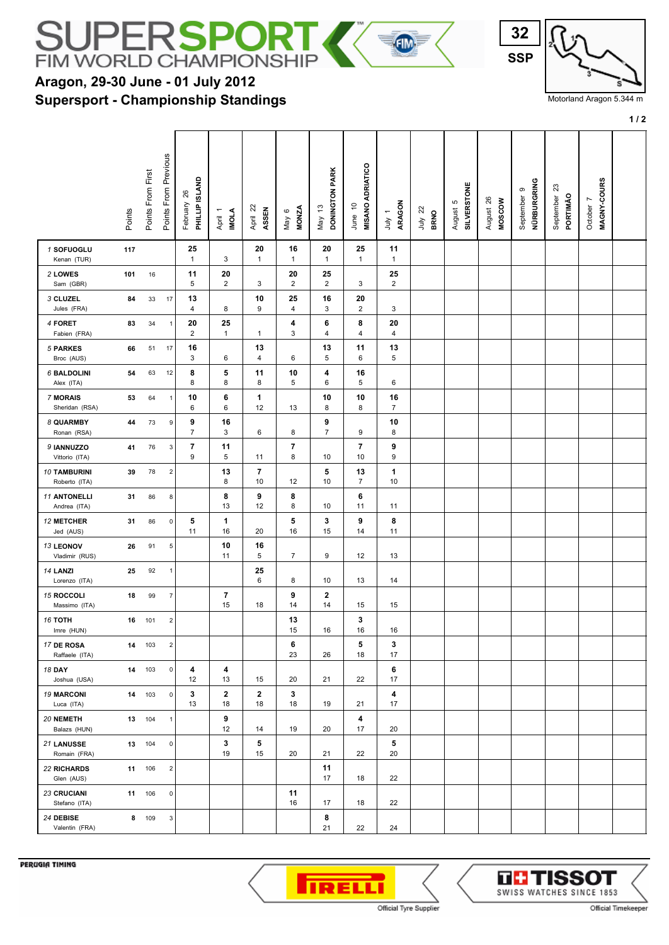

**Supersport - Championship Standings**



Motorland Aragon 5.344 m

**1 / 2**

|                                      | Points | Points From First | Points From Previous    | PHILLIP ISLAND<br>26<br>February | April 1<br>IMOLA     | April 22<br>ASSEN  | <b>MONZA</b><br>$\circ$<br>Vay | DONINGTON PARK<br>$\frac{3}{2}$<br>May | MISANO ADRIATICO<br>\$<br>June | ARAGON<br>$\overline{\phantom{0}}$<br>Š | $\approx$<br><b>BRNO</b><br>July | <b>SILVERSTONE</b><br>ю<br>August | August 26<br><b>MOSCOW</b> | NÜRBURGRING<br>September 9 | ಔ<br>PORTIMÃO<br>September | MAGNY-COURS<br>October 7 |  |
|--------------------------------------|--------|-------------------|-------------------------|----------------------------------|----------------------|--------------------|--------------------------------|----------------------------------------|--------------------------------|-----------------------------------------|----------------------------------|-----------------------------------|----------------------------|----------------------------|----------------------------|--------------------------|--|
| 1 SOFUOGLU<br>Kenan (TUR)            | 117    |                   |                         | 25<br>$\mathbf{1}$               | 3                    | 20<br>$\mathbf{1}$ | 16<br>$\mathbf{1}$             | 20<br>$\mathbf{1}$                     | 25<br>$\mathbf{1}$             | 11<br>$\mathbf{1}$                      |                                  |                                   |                            |                            |                            |                          |  |
| 2 LOWES<br>Sam (GBR)                 | 101    | 16                |                         | 11<br>5                          | 20<br>$\overline{2}$ | 3                  | 20<br>$\overline{2}$           | 25<br>$\overline{c}$                   | 3                              | 25<br>$\overline{2}$                    |                                  |                                   |                            |                            |                            |                          |  |
| 3 CLUZEL<br>Jules (FRA)              | 84     | 33                | 17                      | 13<br>4                          | 8                    | 10<br>9            | 25<br>4                        | 16<br>3                                | 20<br>2                        | 3                                       |                                  |                                   |                            |                            |                            |                          |  |
| 4 FORET<br>Fabien (FRA)              | 83     | 34                | $\overline{1}$          | 20<br>$\overline{2}$             | 25<br>$\mathbf{1}$   | 1                  | 4<br>3                         | 6<br>4                                 | 8<br>4                         | 20<br>$\overline{4}$                    |                                  |                                   |                            |                            |                            |                          |  |
| 5 PARKES<br>Broc (AUS)               | 66     | 51                | 17                      | 16<br>3                          | 6                    | 13<br>4            | 6                              | 13<br>5                                | 11<br>6                        | 13<br>5                                 |                                  |                                   |                            |                            |                            |                          |  |
| <b>6 BALDOLINI</b><br>Alex (ITA)     | 54     | 63                | 12                      | 8<br>8                           | 5<br>8               | 11<br>8            | 10<br>5                        | 4<br>6                                 | 16<br>5                        | 6                                       |                                  |                                   |                            |                            |                            |                          |  |
| 7 MORAIS<br>Sheridan (RSA)           | 53     | 64                | $\overline{1}$          | 10<br>6                          | 6<br>6               | 1<br>12            | 13                             | 10<br>8                                | 10<br>8                        | 16<br>$\overline{7}$                    |                                  |                                   |                            |                            |                            |                          |  |
| 8 QUARMBY<br>Ronan (RSA)             | 44     | 73                | 9                       | 9<br>7                           | 16<br>3              | 6                  | 8                              | 9<br>$\overline{7}$                    | 9                              | 10<br>8                                 |                                  |                                   |                            |                            |                            |                          |  |
| 9 IANNUZZO<br>Vittorio (ITA)         | 41     | 76                | 3                       | 7<br>9                           | 11<br>5              | 11                 | $\overline{7}$<br>8            | 10                                     | 7<br>10                        | 9<br>9                                  |                                  |                                   |                            |                            |                            |                          |  |
| <b>10 TAMBURINI</b><br>Roberto (ITA) | 39     | 78                | $\overline{\mathbf{c}}$ |                                  | 13<br>8              | 7<br>10            | 12                             | 5<br>10                                | 13<br>$\overline{7}$           | 1<br>10                                 |                                  |                                   |                            |                            |                            |                          |  |
| <b>11 ANTONELLI</b><br>Andrea (ITA)  | 31     | 86                | 8                       |                                  | 8<br>13              | 9<br>12            | 8<br>8                         | 10                                     | 6<br>11                        | 11                                      |                                  |                                   |                            |                            |                            |                          |  |
| <b>12 METCHER</b><br>Jed (AUS)       | 31     | 86                | $\mathsf 0$             | 5<br>11                          | 1<br>16              | 20                 | 5<br>16                        | 3<br>15                                | 9<br>14                        | 8<br>11                                 |                                  |                                   |                            |                            |                            |                          |  |
| <b>13 LEONOV</b><br>Vladimir (RUS)   | 26     | 91                | 5                       |                                  | 10<br>11             | 16<br>5            | $\overline{7}$                 | 9                                      | 12                             | 13                                      |                                  |                                   |                            |                            |                            |                          |  |
| 14 LANZI<br>Lorenzo (ITA)            | 25     | 92                | $\overline{1}$          |                                  |                      | 25<br>6            | 8                              | 10                                     | 13                             | 14                                      |                                  |                                   |                            |                            |                            |                          |  |
| 15 ROCCOLI<br>Massimo (ITA)          | 18     | 99                | $\overline{7}$          |                                  | 7<br>15              | 18                 | 9<br>14                        | 2<br>14                                | 15                             | 15                                      |                                  |                                   |                            |                            |                            |                          |  |
| <b>16 TOTH</b><br>Imre (HUN)         | 16     | 101               | $\overline{\mathbf{c}}$ |                                  |                      |                    | 13<br>15                       | 16                                     | 3<br>16                        | 16                                      |                                  |                                   |                            |                            |                            |                          |  |
| 17 DE ROSA<br>Raffaele (ITA)         | 14     | 103               | $\overline{c}$          |                                  |                      |                    | 6<br>23                        | 26                                     | 5<br>18                        | 3<br>17                                 |                                  |                                   |                            |                            |                            |                          |  |
| <b>18 DAY</b><br>Joshua (USA)        |        | 14 103            | 0                       | 4<br>12                          | 4<br>13              | 15                 | 20                             | 21                                     | 22                             | 6<br>17                                 |                                  |                                   |                            |                            |                            |                          |  |
| <b>19 MARCONI</b><br>Luca (ITA)      |        | 14 103            | $\mathsf 0$             | 3<br>13                          | $\mathbf 2$<br>18    | $\mathbf 2$<br>18  | 3<br>18                        | 19                                     | 21                             | 4<br>17                                 |                                  |                                   |                            |                            |                            |                          |  |
| 20 NEMETH<br>Balazs (HUN)            |        | 13 104            | $\overline{1}$          |                                  | 9<br>12              | 14                 | 19                             | 20                                     | 4<br>17                        | 20                                      |                                  |                                   |                            |                            |                            |                          |  |
| 21 LANUSSE<br>Romain (FRA)           |        | 13 104            | $\mathsf 0$             |                                  | 3<br>19              | 5<br>15            | 20                             | 21                                     | 22                             | 5<br>20                                 |                                  |                                   |                            |                            |                            |                          |  |
| <b>22 RICHARDS</b><br>Glen (AUS)     |        | 11 106            | $\overline{2}$          |                                  |                      |                    |                                | 11<br>17                               | 18                             | 22                                      |                                  |                                   |                            |                            |                            |                          |  |
| <b>23 CRUCIANI</b><br>Stefano (ITA)  |        | 11 106            | $\mathsf 0$             |                                  |                      |                    | 11<br>16                       | 17                                     | 18                             | 22                                      |                                  |                                   |                            |                            |                            |                          |  |
| 24 DEBISE<br>Valentin (FRA)          |        | 8 109             | 3 <sup>1</sup>          |                                  |                      |                    |                                | 8<br>21                                | 22                             | 24                                      |                                  |                                   |                            |                            |                            |                          |  |